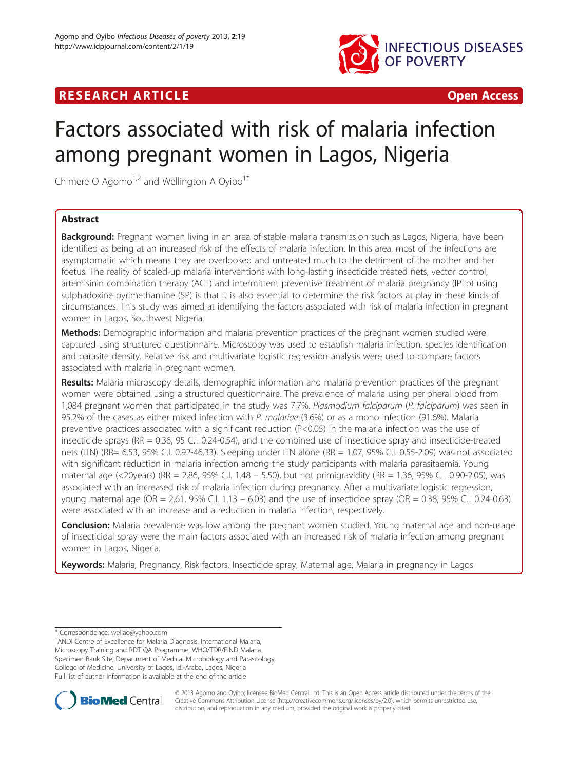

# **RESEARCH ARTICLE EXECUTE: CONSIDERING ACCESS**

# Factors associated with risk of malaria infection among pregnant women in Lagos, Nigeria

Chimere O Agomo<sup>1,2</sup> and Wellington A Oyibo<sup>1\*</sup>

# Abstract

Background: Pregnant women living in an area of stable malaria transmission such as Lagos, Nigeria, have been identified as being at an increased risk of the effects of malaria infection. In this area, most of the infections are asymptomatic which means they are overlooked and untreated much to the detriment of the mother and her foetus. The reality of scaled-up malaria interventions with long-lasting insecticide treated nets, vector control, artemisinin combination therapy (ACT) and intermittent preventive treatment of malaria pregnancy (IPTp) using sulphadoxine pyrimethamine (SP) is that it is also essential to determine the risk factors at play in these kinds of circumstances. This study was aimed at identifying the factors associated with risk of malaria infection in pregnant women in Lagos, Southwest Nigeria.

Methods: Demographic information and malaria prevention practices of the pregnant women studied were captured using structured questionnaire. Microscopy was used to establish malaria infection, species identification and parasite density. Relative risk and multivariate logistic regression analysis were used to compare factors associated with malaria in pregnant women.

Results: Malaria microscopy details, demographic information and malaria prevention practices of the pregnant women were obtained using a structured questionnaire. The prevalence of malaria using peripheral blood from 1,084 pregnant women that participated in the study was 7.7%. Plasmodium falciparum (P. falciparum) was seen in 95.2% of the cases as either mixed infection with P. malariae (3.6%) or as a mono infection (91.6%). Malaria preventive practices associated with a significant reduction (P<0.05) in the malaria infection was the use of insecticide sprays (RR = 0.36, 95 C.I. 0.24-0.54), and the combined use of insecticide spray and insecticide-treated nets (ITN) (RR= 6.53, 95% C.I. 0.92-46.33). Sleeping under ITN alone (RR = 1.07, 95% C.I. 0.55-2.09) was not associated with significant reduction in malaria infection among the study participants with malaria parasitaemia. Young maternal age (<20years) (RR = 2.86, 95% C.I. 1.48 – 5.50), but not primigravidity (RR = 1.36, 95% C.I. 0.90-2.05), was associated with an increased risk of malaria infection during pregnancy. After a multivariate logistic regression, young maternal age (OR = 2.61, 95% C.I. 1.13 – 6.03) and the use of insecticide spray (OR = 0.38, 95% C.I. 0.24-0.63) were associated with an increase and a reduction in malaria infection, respectively.

**Conclusion:** Malaria prevalence was low among the pregnant women studied. Young maternal age and non-usage of insecticidal spray were the main factors associated with an increased risk of malaria infection among pregnant women in Lagos, Nigeria.

Keywords: Malaria, Pregnancy, Risk factors, Insecticide spray, Maternal age, Malaria in pregnancy in Lagos

<sup>1</sup> ANDI Centre of Excellence for Malaria Diagnosis, International Malaria, Microscopy Training and RDT QA Programme, WHO/TDR/FIND Malaria Specimen Bank Site, Department of Medical Microbiology and Parasitology, College of Medicine, University of Lagos, Idi-Araba, Lagos, Nigeria Full list of author information is available at the end of the article



© 2013 Agomo and Oyibo; licensee BioMed Central Ltd. This is an Open Access article distributed under the terms of the Creative Commons Attribution License (<http://creativecommons.org/licenses/by/2.0>), which permits unrestricted use, distribution, and reproduction in any medium, provided the original work is properly cited.

<sup>\*</sup> Correspondence: [wellao@yahoo.com](mailto:wellao@yahoo.com) <sup>1</sup>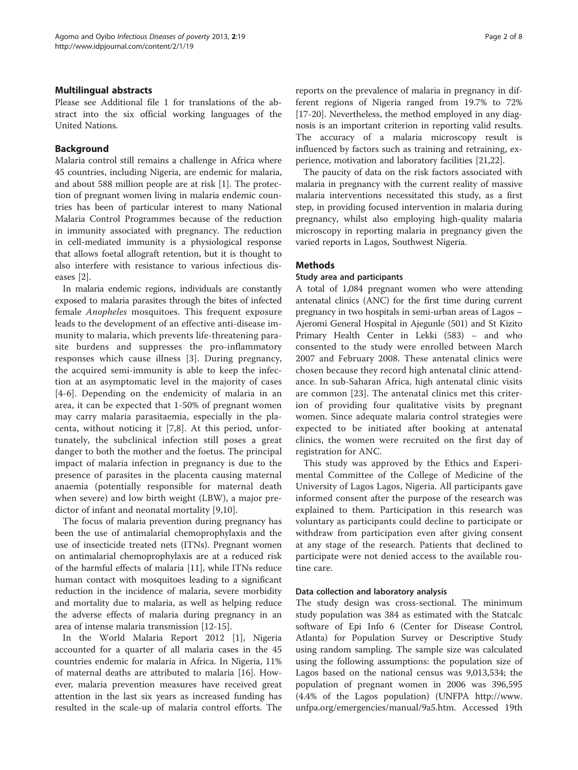## Multilingual abstracts

Please see Additional file [1](#page-6-0) for translations of the abstract into the six official working languages of the United Nations.

#### Background

Malaria control still remains a challenge in Africa where 45 countries, including Nigeria, are endemic for malaria, and about 588 million people are at risk [\[1](#page-6-0)]. The protection of pregnant women living in malaria endemic countries has been of particular interest to many National Malaria Control Programmes because of the reduction in immunity associated with pregnancy. The reduction in cell-mediated immunity is a physiological response that allows foetal allograft retention, but it is thought to also interfere with resistance to various infectious diseases [[2\]](#page-6-0).

In malaria endemic regions, individuals are constantly exposed to malaria parasites through the bites of infected female Anopheles mosquitoes. This frequent exposure leads to the development of an effective anti-disease immunity to malaria, which prevents life-threatening parasite burdens and suppresses the pro-inflammatory responses which cause illness [[3\]](#page-6-0). During pregnancy, the acquired semi-immunity is able to keep the infection at an asymptomatic level in the majority of cases [[4-6\]](#page-6-0). Depending on the endemicity of malaria in an area, it can be expected that 1-50% of pregnant women may carry malaria parasitaemia, especially in the placenta, without noticing it [\[7](#page-6-0),[8\]](#page-7-0). At this period, unfortunately, the subclinical infection still poses a great danger to both the mother and the foetus. The principal impact of malaria infection in pregnancy is due to the presence of parasites in the placenta causing maternal anaemia (potentially responsible for maternal death when severe) and low birth weight (LBW), a major predictor of infant and neonatal mortality [\[9](#page-7-0),[10\]](#page-7-0).

The focus of malaria prevention during pregnancy has been the use of antimalarial chemoprophylaxis and the use of insecticide treated nets (ITNs). Pregnant women on antimalarial chemoprophylaxis are at a reduced risk of the harmful effects of malaria [[11\]](#page-7-0), while ITNs reduce human contact with mosquitoes leading to a significant reduction in the incidence of malaria, severe morbidity and mortality due to malaria, as well as helping reduce the adverse effects of malaria during pregnancy in an area of intense malaria transmission [[12](#page-7-0)-[15\]](#page-7-0).

In the World Malaria Report 2012 [[1](#page-6-0)], Nigeria accounted for a quarter of all malaria cases in the 45 countries endemic for malaria in Africa. In Nigeria, 11% of maternal deaths are attributed to malaria [\[16](#page-7-0)]. However, malaria prevention measures have received great attention in the last six years as increased funding has resulted in the scale-up of malaria control efforts. The

reports on the prevalence of malaria in pregnancy in different regions of Nigeria ranged from 19.7% to 72% [[17-20](#page-7-0)]. Nevertheless, the method employed in any diagnosis is an important criterion in reporting valid results. The accuracy of a malaria microscopy result is influenced by factors such as training and retraining, experience, motivation and laboratory facilities [\[21,22](#page-7-0)].

The paucity of data on the risk factors associated with malaria in pregnancy with the current reality of massive malaria interventions necessitated this study, as a first step, in providing focused intervention in malaria during pregnancy, whilst also employing high-quality malaria microscopy in reporting malaria in pregnancy given the varied reports in Lagos, Southwest Nigeria.

## Methods

## Study area and participants

A total of 1,084 pregnant women who were attending antenatal clinics (ANC) for the first time during current pregnancy in two hospitals in semi-urban areas of Lagos – Ajeromi General Hospital in Ajegunle (501) and St Kizito Primary Health Center in Lekki (583) – and who consented to the study were enrolled between March 2007 and February 2008. These antenatal clinics were chosen because they record high antenatal clinic attendance. In sub-Saharan Africa, high antenatal clinic visits are common [[23\]](#page-7-0). The antenatal clinics met this criterion of providing four qualitative visits by pregnant women. Since adequate malaria control strategies were expected to be initiated after booking at antenatal clinics, the women were recruited on the first day of registration for ANC.

This study was approved by the Ethics and Experimental Committee of the College of Medicine of the University of Lagos Lagos, Nigeria. All participants gave informed consent after the purpose of the research was explained to them. Participation in this research was voluntary as participants could decline to participate or withdraw from participation even after giving consent at any stage of the research. Patients that declined to participate were not denied access to the available routine care.

#### Data collection and laboratory analysis

The study design was cross-sectional. The minimum study population was 384 as estimated with the Statcalc software of Epi Info 6 (Center for Disease Control, Atlanta) for Population Survey or Descriptive Study using random sampling. The sample size was calculated using the following assumptions: the population size of Lagos based on the national census was 9,013,534; the population of pregnant women in 2006 was 396,595 (4.4% of the Lagos population) (UNFPA [http://www.](http://www.unfpa.org/emergencies/manual/9a5.htm) [unfpa.org/emergencies/manual/9a5.htm.](http://www.unfpa.org/emergencies/manual/9a5.htm) Accessed 19th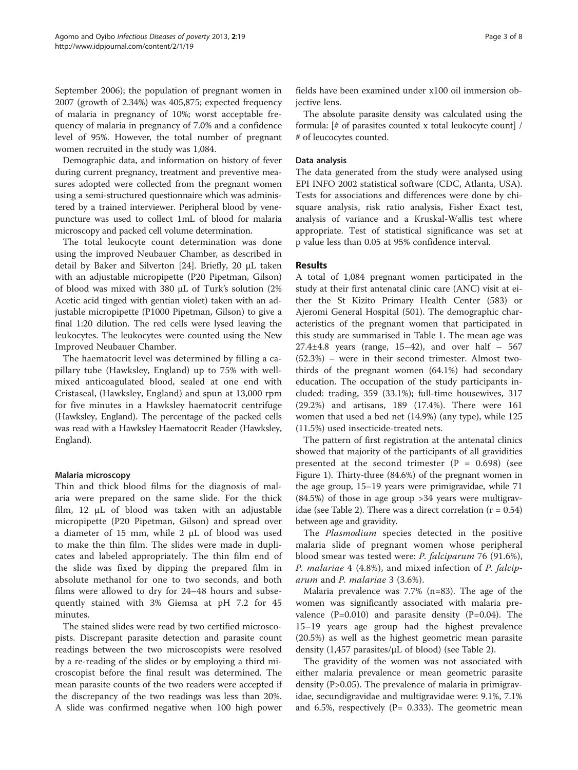September 2006); the population of pregnant women in 2007 (growth of 2.34%) was 405,875; expected frequency of malaria in pregnancy of 10%; worst acceptable frequency of malaria in pregnancy of 7.0% and a confidence level of 95%. However, the total number of pregnant women recruited in the study was 1,084.

Demographic data, and information on history of fever during current pregnancy, treatment and preventive measures adopted were collected from the pregnant women using a semi-structured questionnaire which was administered by a trained interviewer. Peripheral blood by venepuncture was used to collect 1mL of blood for malaria microscopy and packed cell volume determination.

The total leukocyte count determination was done using the improved Neubauer Chamber, as described in detail by Baker and Silverton [\[24](#page-7-0)]. Briefly, 20 μL taken with an adjustable micropipette (P20 Pipetman, Gilson) of blood was mixed with 380 μL of Turk's solution (2% Acetic acid tinged with gentian violet) taken with an adjustable micropipette (P1000 Pipetman, Gilson) to give a final 1:20 dilution. The red cells were lysed leaving the leukocytes. The leukocytes were counted using the New Improved Neubauer Chamber.

The haematocrit level was determined by filling a capillary tube (Hawksley, England) up to 75% with wellmixed anticoagulated blood, sealed at one end with Cristaseal, (Hawksley, England) and spun at 13,000 rpm for five minutes in a Hawksley haematocrit centrifuge (Hawksley, England). The percentage of the packed cells was read with a Hawksley Haematocrit Reader (Hawksley, England).

## Malaria microscopy

Thin and thick blood films for the diagnosis of malaria were prepared on the same slide. For the thick film, 12 μL of blood was taken with an adjustable micropipette (P20 Pipetman, Gilson) and spread over a diameter of 15 mm, while 2 μL of blood was used to make the thin film. The slides were made in duplicates and labeled appropriately. The thin film end of the slide was fixed by dipping the prepared film in absolute methanol for one to two seconds, and both films were allowed to dry for 24–48 hours and subsequently stained with 3% Giemsa at pH 7.2 for 45 minutes.

The stained slides were read by two certified microscopists. Discrepant parasite detection and parasite count readings between the two microscopists were resolved by a re-reading of the slides or by employing a third microscopist before the final result was determined. The mean parasite counts of the two readers were accepted if the discrepancy of the two readings was less than 20%. A slide was confirmed negative when 100 high power

fields have been examined under x100 oil immersion objective lens.

The absolute parasite density was calculated using the formula: [# of parasites counted x total leukocyte count] / # of leucocytes counted.

## Data analysis

The data generated from the study were analysed using EPI INFO 2002 statistical software (CDC, Atlanta, USA). Tests for associations and differences were done by chisquare analysis, risk ratio analysis, Fisher Exact test, analysis of variance and a Kruskal-Wallis test where appropriate. Test of statistical significance was set at p value less than 0.05 at 95% confidence interval.

## Results

A total of 1,084 pregnant women participated in the study at their first antenatal clinic care (ANC) visit at either the St Kizito Primary Health Center (583) or Ajeromi General Hospital (501). The demographic characteristics of the pregnant women that participated in this study are summarised in Table [1.](#page-3-0) The mean age was  $27.4\pm4.8$  years (range,  $15-42$ ), and over half  $-567$ (52.3%) – were in their second trimester. Almost twothirds of the pregnant women (64.1%) had secondary education. The occupation of the study participants included: trading, 359 (33.1%); full-time housewives, 317 (29.2%) and artisans, 189 (17.4%). There were 161 women that used a bed net (14.9%) (any type), while 125 (11.5%) used insecticide-treated nets.

The pattern of first registration at the antenatal clinics showed that majority of the participants of all gravidities presented at the second trimester  $(P = 0.698)$  (see Figure [1](#page-3-0)). Thirty-three (84.6%) of the pregnant women in the age group, 15–19 years were primigravidae, while 71 (84.5%) of those in age group >34 years were multigrav-idae (see Table [2](#page-4-0)). There was a direct correlation  $(r = 0.54)$ between age and gravidity.

The Plasmodium species detected in the positive malaria slide of pregnant women whose peripheral blood smear was tested were: P. falciparum 76 (91.6%), P. malariae 4 (4.8%), and mixed infection of P. falciparum and P. malariae 3 (3.6%).

Malaria prevalence was 7.7% (n=83). The age of the women was significantly associated with malaria prevalence  $(P=0.010)$  and parasite density  $(P=0.04)$ . The 15–19 years age group had the highest prevalence (20.5%) as well as the highest geometric mean parasite density  $(1,457 \text{ parasites/}\mu\text{L of blood})$  (see Table [2\)](#page-4-0).

The gravidity of the women was not associated with either malaria prevalence or mean geometric parasite density (P>0.05). The prevalence of malaria in primigravidae, secundigravidae and multigravidae were: 9.1%, 7.1% and 6.5%, respectively (P=  $0.333$ ). The geometric mean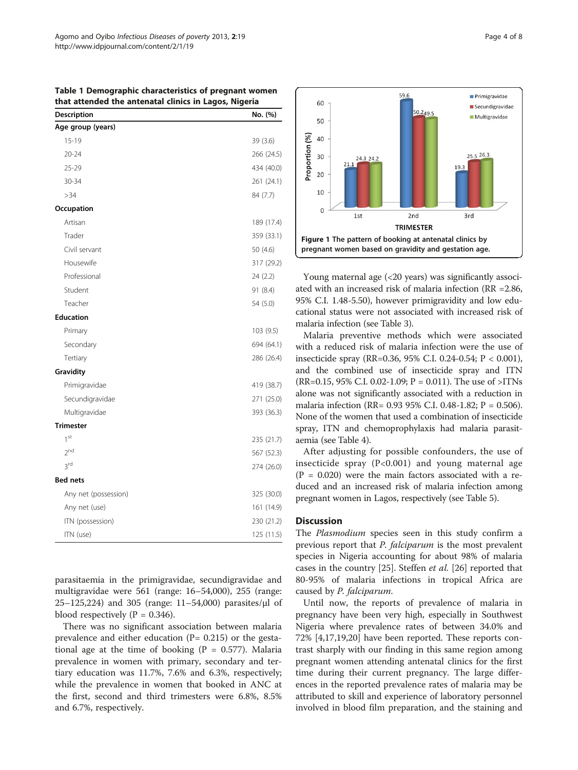| Description          | No. (%)    |
|----------------------|------------|
| Age group (years)    |            |
| $15 - 19$            | 39 (3.6)   |
| $20 - 24$            | 266 (24.5) |
| 25-29                | 434 (40.0) |
| 30-34                | 261 (24.1) |
| >34                  | 84 (7.7)   |
| Occupation           |            |
| Artisan              | 189 (17.4) |
| Trader               | 359 (33.1) |
| Civil servant        | 50 (4.6)   |
| Housewife            | 317 (29.2) |
| Professional         | 24 (2.2)   |
| Student              | 91 (8.4)   |
| Teacher              | 54 (5.0)   |
| <b>Education</b>     |            |
| Primary              | 103(9.5)   |
| Secondary            | 694 (64.1) |
| Tertiary             | 286 (26.4) |
| Gravidity            |            |
| Primigravidae        | 419 (38.7) |
| Secundigravidae      | 271 (25.0) |
| Multigravidae        | 393 (36.3) |
| <b>Trimester</b>     |            |
| 1 <sup>st</sup>      | 235 (21.7) |
| 2 <sup>nd</sup>      | 567 (52.3) |
| 3rd                  | 274 (26.0) |
| <b>Bed nets</b>      |            |
| Any net (possession) | 325 (30.0) |
| Any net (use)        | 161 (14.9) |
| ITN (possession)     | 230 (21.2) |
| ITN (use)            | 125 (11.5) |

<span id="page-3-0"></span>Table 1 Demographic characteristics of pregnant women that attended the antenatal clinics in Lagos, Nigeria

parasitaemia in the primigravidae, secundigravidae and multigravidae were 561 (range: 16–54,000), 255 (range: 25–125,224) and 305 (range: 11–54,000) parasites/μl of blood respectively ( $P = 0.346$ ).

There was no significant association between malaria prevalence and either education  $(P= 0.215)$  or the gestational age at the time of booking ( $P = 0.577$ ). Malaria prevalence in women with primary, secondary and tertiary education was 11.7%, 7.6% and 6.3%, respectively; while the prevalence in women that booked in ANC at the first, second and third trimesters were 6.8%, 8.5% and 6.7%, respectively.



Young maternal age (<20 years) was significantly associated with an increased risk of malaria infection (RR =2.86, 95% C.I. 1.48-5.50), however primigravidity and low educational status were not associated with increased risk of malaria infection (see Table [3](#page-4-0)).

Malaria preventive methods which were associated with a reduced risk of malaria infection were the use of insecticide spray (RR=0.36, 95% C.I. 0.24-0.54; P < 0.001), and the combined use of insecticide spray and ITN (RR=0.15, 95% C.I. 0.02-1.09;  $P = 0.011$ ). The use of >ITNs alone was not significantly associated with a reduction in malaria infection (RR= 0.93 95% C.I. 0.48-1.82; P = 0.506). None of the women that used a combination of insecticide spray, ITN and chemoprophylaxis had malaria parasitaemia (see Table [4](#page-5-0)).

After adjusting for possible confounders, the use of insecticide spray (P<0.001) and young maternal age  $(P = 0.020)$  were the main factors associated with a reduced and an increased risk of malaria infection among pregnant women in Lagos, respectively (see Table [5](#page-5-0)).

#### **Discussion**

The *Plasmodium* species seen in this study confirm a previous report that P. falciparum is the most prevalent species in Nigeria accounting for about 98% of malaria cases in the country [\[25\]](#page-7-0). Steffen *et al.* [[26\]](#page-7-0) reported that 80-95% of malaria infections in tropical Africa are caused by P. falciparum.

Until now, the reports of prevalence of malaria in pregnancy have been very high, especially in Southwest Nigeria where prevalence rates of between 34.0% and 72% [[4,](#page-6-0)[17,19,20\]](#page-7-0) have been reported. These reports contrast sharply with our finding in this same region among pregnant women attending antenatal clinics for the first time during their current pregnancy. The large differences in the reported prevalence rates of malaria may be attributed to skill and experience of laboratory personnel involved in blood film preparation, and the staining and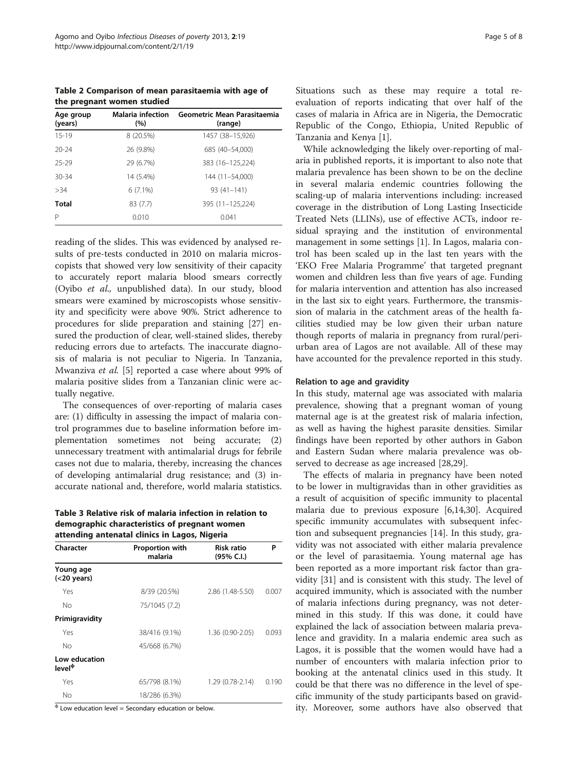<span id="page-4-0"></span>Table 2 Comparison of mean parasitaemia with age of the pregnant women studied

| Age group<br>(years) | <b>Malaria infection</b><br>(%) | Geometric Mean Parasitaemia<br>(range) |
|----------------------|---------------------------------|----------------------------------------|
| $15 - 19$            | 8 (20.5%)                       | 1457 (38-15,926)                       |
| $20 - 24$            | 26 (9.8%)                       | 685 (40-54,000)                        |
| 25-29                | 29 (6.7%)                       | 383 (16-125,224)                       |
| $30 - 34$            | 14 (5.4%)                       | 144 (11-54.000)                        |
| >34                  | $6(7.1\%)$                      | $93(41 - 141)$                         |
| Total                | 83 (7.7)                        | 395 (11-125,224)                       |
| P                    | 0.010                           | 0.041                                  |

reading of the slides. This was evidenced by analysed results of pre-tests conducted in 2010 on malaria microscopists that showed very low sensitivity of their capacity to accurately report malaria blood smears correctly (Oyibo et al., unpublished data). In our study, blood smears were examined by microscopists whose sensitivity and specificity were above 90%. Strict adherence to procedures for slide preparation and staining [\[27\]](#page-7-0) ensured the production of clear, well-stained slides, thereby reducing errors due to artefacts. The inaccurate diagnosis of malaria is not peculiar to Nigeria. In Tanzania, Mwanziva et al. [\[5](#page-6-0)] reported a case where about 99% of malaria positive slides from a Tanzanian clinic were actually negative.

The consequences of over-reporting of malaria cases are: (1) difficulty in assessing the impact of malaria control programmes due to baseline information before implementation sometimes not being accurate; (2) unnecessary treatment with antimalarial drugs for febrile cases not due to malaria, thereby, increasing the chances of developing antimalarial drug resistance; and (3) inaccurate national and, therefore, world malaria statistics.

Table 3 Relative risk of malaria infection in relation to demographic characteristics of pregnant women attending antenatal clinics in Lagos, Nigeria

| Character                                           | Proportion with | <b>Risk ratio</b> | P     |
|-----------------------------------------------------|-----------------|-------------------|-------|
|                                                     | malaria         | (95% C.I.)        |       |
| Young age<br>$(<$ 20 years)                         |                 |                   |       |
| Yes                                                 | 8/39 (20.5%)    | 2.86 (1.48-5.50)  | 0.007 |
| Νo                                                  | 75/1045 (7.2)   |                   |       |
| Primigravidity                                      |                 |                   |       |
| Yes                                                 | 38/416 (9.1%)   | 1.36 (0.90-2.05)  | 0.093 |
| No                                                  | 45/668 (6.7%)   |                   |       |
| Low education<br>level <sup><math>\Phi</math></sup> |                 |                   |       |
| Yes                                                 | 65/798 (8.1%)   | 1.29 (0.78-2.14)  | 0.190 |
| No                                                  | 18/286 (6.3%)   |                   |       |

 $\Phi$  Low education level = Secondary education or below.

Situations such as these may require a total reevaluation of reports indicating that over half of the cases of malaria in Africa are in Nigeria, the Democratic Republic of the Congo, Ethiopia, United Republic of Tanzania and Kenya [[1](#page-6-0)].

While acknowledging the likely over-reporting of malaria in published reports, it is important to also note that malaria prevalence has been shown to be on the decline in several malaria endemic countries following the scaling-up of malaria interventions including: increased coverage in the distribution of Long Lasting Insecticide Treated Nets (LLINs), use of effective ACTs, indoor residual spraying and the institution of environmental management in some settings [[1\]](#page-6-0). In Lagos, malaria control has been scaled up in the last ten years with the 'EKO Free Malaria Programme' that targeted pregnant women and children less than five years of age. Funding for malaria intervention and attention has also increased in the last six to eight years. Furthermore, the transmission of malaria in the catchment areas of the health facilities studied may be low given their urban nature though reports of malaria in pregnancy from rural/periurban area of Lagos are not available. All of these may have accounted for the prevalence reported in this study.

#### Relation to age and gravidity

In this study, maternal age was associated with malaria prevalence, showing that a pregnant woman of young maternal age is at the greatest risk of malaria infection, as well as having the highest parasite densities. Similar findings have been reported by other authors in Gabon and Eastern Sudan where malaria prevalence was observed to decrease as age increased [\[28,29\]](#page-7-0).

The effects of malaria in pregnancy have been noted to be lower in multigravidas than in other gravidities as a result of acquisition of specific immunity to placental malaria due to previous exposure [\[6](#page-6-0)[,14,30\]](#page-7-0). Acquired specific immunity accumulates with subsequent infection and subsequent pregnancies [[14](#page-7-0)]. In this study, gravidity was not associated with either malaria prevalence or the level of parasitaemia. Young maternal age has been reported as a more important risk factor than gravidity [[31](#page-7-0)] and is consistent with this study. The level of acquired immunity, which is associated with the number of malaria infections during pregnancy, was not determined in this study. If this was done, it could have explained the lack of association between malaria prevalence and gravidity. In a malaria endemic area such as Lagos, it is possible that the women would have had a number of encounters with malaria infection prior to booking at the antenatal clinics used in this study. It could be that there was no difference in the level of specific immunity of the study participants based on gravidity. Moreover, some authors have also observed that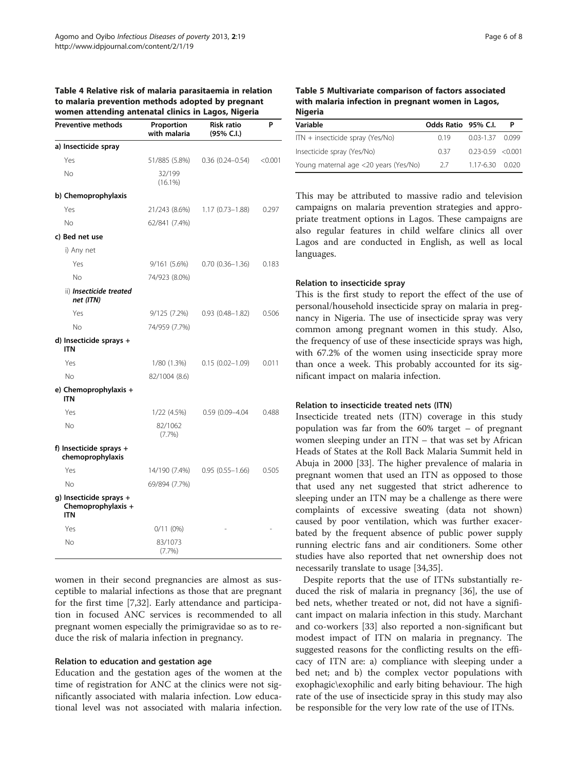<span id="page-5-0"></span>

| Table 4 Relative risk of malaria parasitaemia in relation |
|-----------------------------------------------------------|
| to malaria prevention methods adopted by pregnant         |
| women attending antenatal clinics in Lagos, Nigeria       |

| <b>Preventive methods</b>                                   | Proportion<br>with malaria | <b>Risk ratio</b><br>(95% C.I.) | P       |
|-------------------------------------------------------------|----------------------------|---------------------------------|---------|
| a) Insecticide spray                                        |                            |                                 |         |
| Yes                                                         | 51/885 (5.8%)              | $0.36(0.24 - 0.54)$             | < 0.001 |
| No                                                          | 32/199<br>$(16.1\%)$       |                                 |         |
| b) Chemoprophylaxis                                         |                            |                                 |         |
| Yes                                                         | 21/243 (8.6%)              | $1.17(0.73 - 1.88)$             | 0.297   |
| No                                                          | 62/841 (7.4%)              |                                 |         |
| c) Bed net use                                              |                            |                                 |         |
| i) Any net                                                  |                            |                                 |         |
| Yes                                                         | 9/161(5.6%)                | $0.70(0.36 - 1.36)$             | 0.183   |
| No                                                          | 74/923 (8.0%)              |                                 |         |
| ii) <b>Insecticide treated</b><br>net (ITN)                 |                            |                                 |         |
| Yes                                                         | 9/125 (7.2%)               | $0.93(0.48 - 1.82)$             | 0.506   |
| Nο                                                          | 74/959 (7.7%)              |                                 |         |
| d) Insecticide sprays +<br><b>ITN</b>                       |                            |                                 |         |
| Yes                                                         | 1/80 (1.3%)                | $0.15(0.02 - 1.09)$             | 0.011   |
| No                                                          | 82/1004 (8.6)              |                                 |         |
| e) Chemoprophylaxis +<br><b>ITN</b>                         |                            |                                 |         |
| Yes                                                         | 1/22(4.5%)                 | 0.59 (0.09-4.04                 | 0.488   |
| No                                                          | 82/1062<br>(7.7%)          |                                 |         |
| f) Insecticide sprays $+$<br>chemoprophylaxis               |                            |                                 |         |
| Yes                                                         | 14/190 (7.4%)              | $0.95(0.55 - 1.66)$             | 0.505   |
| <b>No</b>                                                   | 69/894 (7.7%)              |                                 |         |
| g) Insecticide sprays +<br>Chemoprophylaxis +<br><b>ITN</b> |                            |                                 |         |
| Yes                                                         | 0/11 (0%)                  |                                 |         |
| <b>No</b>                                                   | 83/1073<br>(7.7%)          |                                 |         |

women in their second pregnancies are almost as susceptible to malarial infections as those that are pregnant for the first time [[7,](#page-6-0)[32\]](#page-7-0). Early attendance and participation in focused ANC services is recommended to all pregnant women especially the primigravidae so as to reduce the risk of malaria infection in pregnancy.

#### Relation to education and gestation age

Education and the gestation ages of the women at the time of registration for ANC at the clinics were not significantly associated with malaria infection. Low educational level was not associated with malaria infection.

| Variable                              | Odds Ratio 95% C.I. |                            |  |
|---------------------------------------|---------------------|----------------------------|--|
| ITN + insecticide spray (Yes/No)      | 0.19                | $0.03 - 1.37$ 0.099        |  |
| Insecticide spray (Yes/No)            | 0.37                | $0.23 - 0.59 < 0.001$      |  |
| Young maternal age <20 years (Yes/No) | 27                  | $1.17 - 6.30 \qquad 0.020$ |  |

This may be attributed to massive radio and television campaigns on malaria prevention strategies and appropriate treatment options in Lagos. These campaigns are also regular features in child welfare clinics all over Lagos and are conducted in English, as well as local languages.

#### Relation to insecticide spray

This is the first study to report the effect of the use of personal/household insecticide spray on malaria in pregnancy in Nigeria. The use of insecticide spray was very common among pregnant women in this study. Also, the frequency of use of these insecticide sprays was high, with 67.2% of the women using insecticide spray more than once a week. This probably accounted for its significant impact on malaria infection.

#### Relation to insecticide treated nets (ITN)

Insecticide treated nets (ITN) coverage in this study population was far from the 60% target – of pregnant women sleeping under an ITN – that was set by African Heads of States at the Roll Back Malaria Summit held in Abuja in 2000 [\[33](#page-7-0)]. The higher prevalence of malaria in pregnant women that used an ITN as opposed to those that used any net suggested that strict adherence to sleeping under an ITN may be a challenge as there were complaints of excessive sweating (data not shown) caused by poor ventilation, which was further exacerbated by the frequent absence of public power supply running electric fans and air conditioners. Some other studies have also reported that net ownership does not necessarily translate to usage [\[34,35](#page-7-0)].

Despite reports that the use of ITNs substantially reduced the risk of malaria in pregnancy [[36\]](#page-7-0), the use of bed nets, whether treated or not, did not have a significant impact on malaria infection in this study. Marchant and co-workers [\[33\]](#page-7-0) also reported a non-significant but modest impact of ITN on malaria in pregnancy. The suggested reasons for the conflicting results on the efficacy of ITN are: a) compliance with sleeping under a bed net; and b) the complex vector populations with exophagic\exophilic and early biting behaviour. The high rate of the use of insecticide spray in this study may also be responsible for the very low rate of the use of ITNs.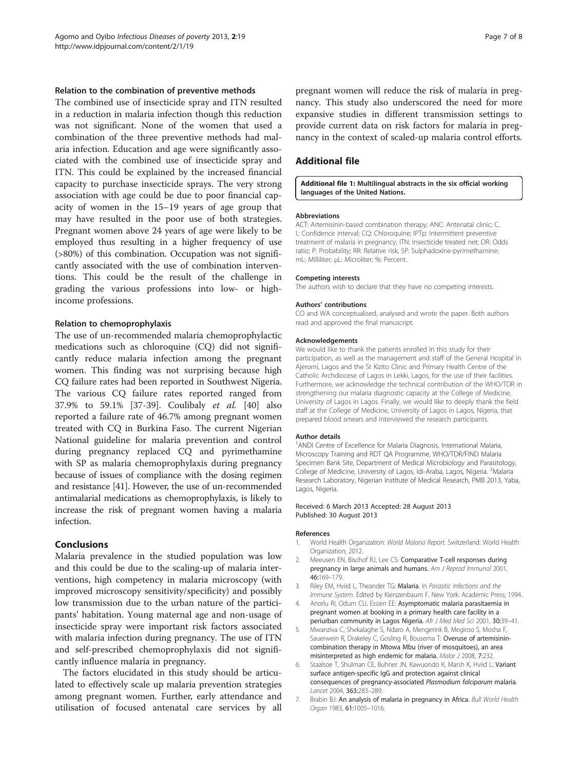#### <span id="page-6-0"></span>Relation to the combination of preventive methods

The combined use of insecticide spray and ITN resulted in a reduction in malaria infection though this reduction was not significant. None of the women that used a combination of the three preventive methods had malaria infection. Education and age were significantly associated with the combined use of insecticide spray and ITN. This could be explained by the increased financial capacity to purchase insecticide sprays. The very strong association with age could be due to poor financial capacity of women in the 15–19 years of age group that may have resulted in the poor use of both strategies. Pregnant women above 24 years of age were likely to be employed thus resulting in a higher frequency of use (>80%) of this combination. Occupation was not significantly associated with the use of combination interventions. This could be the result of the challenge in grading the various professions into low- or highincome professions.

#### Relation to chemoprophylaxis

The use of un-recommended malaria chemoprophylactic medications such as chloroquine (CQ) did not significantly reduce malaria infection among the pregnant women. This finding was not surprising because high CQ failure rates had been reported in Southwest Nigeria. The various CQ failure rates reported ranged from 37.9% to 59.1% [\[37](#page-7-0)-[39\]](#page-7-0). Coulibaly et al. [\[40](#page-7-0)] also reported a failure rate of 46.7% among pregnant women treated with CQ in Burkina Faso. The current Nigerian National guideline for malaria prevention and control during pregnancy replaced CQ and pyrimethamine with SP as malaria chemoprophylaxis during pregnancy because of issues of compliance with the dosing regimen and resistance [\[41\]](#page-7-0). However, the use of un-recommended antimalarial medications as chemoprophylaxis, is likely to increase the risk of pregnant women having a malaria infection.

# Conclusions

Malaria prevalence in the studied population was low and this could be due to the scaling-up of malaria interventions, high competency in malaria microscopy (with improved microscopy sensitivity/specificity) and possibly low transmission due to the urban nature of the participants' habitation. Young maternal age and non-usage of insecticide spray were important risk factors associated with malaria infection during pregnancy. The use of ITN and self-prescribed chemoprophylaxis did not significantly influence malaria in pregnancy.

The factors elucidated in this study should be articulated to effectively scale up malaria prevention strategies among pregnant women. Further, early attendance and utilisation of focused antenatal care services by all pregnant women will reduce the risk of malaria in pregnancy. This study also underscored the need for more expansive studies in different transmission settings to provide current data on risk factors for malaria in pregnancy in the context of scaled-up malaria control efforts.

#### Additional file

[Additional file 1:](http://www.biomedcentral.com/content/supplementary/2049-9957-2-19-S1.pdf) Multilingual abstracts in the six official working languages of the United Nations.

#### Abbreviations

ACT: Artemisinin-based combination therapy; ANC: Antenatal clinic; C. I.: Confidence interval; CQ: Chloroquine; IPTp: Intermittent preventive treatment of malaria in pregnancy; ITN: Insecticide treated net; OR: Odds ratio; P: Probability; RR: Relative risk; SP: Sulphadoxine-pyrimethamine; mL: Milliliter; μL: Microliter; %: Percent.

#### Competing interests

The authors wish to declare that they have no competing interests.

#### Authors' contributions

CO and WA conceptualised, analysed and wrote the paper. Both authors read and approved the final manuscript.

#### Acknowledgements

We would like to thank the patients enrolled in this study for their participation, as well as the management and staff of the General Hospital in Ajeromi, Lagos and the St Kizito Clinic and Primary Health Centre of the Catholic Archdiocese of Lagos in Lekki, Lagos, for the use of their facilities. Furthermore, we acknowledge the technical contribution of the WHO/TDR in strengthening our malaria diagnostic capacity at the College of Medicine, University of Lagos in Lagos. Finally, we would like to deeply thank the field staff at the College of Medicine, University of Lagos in Lagos, Nigeria, that prepared blood smears and interviewed the research participants.

#### Author details

<sup>1</sup> ANDI Centre of Excellence for Malaria Diagnosis, International Malaria, Microscopy Training and RDT QA Programme, WHO/TDR/FIND Malaria Specimen Bank Site, Department of Medical Microbiology and Parasitology, College of Medicine, University of Lagos, Idi-Araba, Lagos, Nigeria. <sup>2</sup>Malaria Research Laboratory, Nigerian Institute of Medical Research, PMB 2013, Yaba, Lagos, Nigeria.

#### Received: 6 March 2013 Accepted: 28 August 2013 Published: 30 August 2013

#### References

- 1. World Health Organization: World Malaria Report. Switzerland: World Health Organization; 2012.
- 2. Meeusen EN, Bischof RJ, Lee CS: Comparative T-cell responses during pregnancy in large animals and humans. Am J Reprod Immunol 2001, 46:169–179.
- 3. Riley EM, Hviid L, Theander TG: Malaria. In Parasitic Infections and the Immune System. Edited by Kierszenbaum F. New York: Academic Press; 1994.
- 4. Anorlu RI, Odum CU, Essien EE: Asymptomatic malaria parasitaemia in pregnant women at booking in a primary health care facility in a periurban community in Lagos Nigeria. Afr J Med Med Sci 2001, 30:39-41.
- 5. Mwanziva C, Shekalaghe S, Ndaro A, Mengerink B, Megiroo S, Mosha F, Sauerwein R, Drakeley C, Gosling R, Bousema T: Overuse of artemisinincombination therapy in Mtowa Mbu (river of mosquitoes), an area misinterpreted as high endemic for malaria. Malar J 2008, 7:232.
- 6. Staalsoe T, Shulman CE, Buhner JN, Kawuondo K, Marsh K, Hviid L: Variant surface antigen-specific IgG and protection against clinical consequences of pregnancy-associated Plasmodium falciparum malaria. Lancet 2004, 363:283–289.
- 7. Brabin BJ: An analysis of malaria in pregnancy in Africa. Bull World Health Organ 1983, 61:1005–1016.